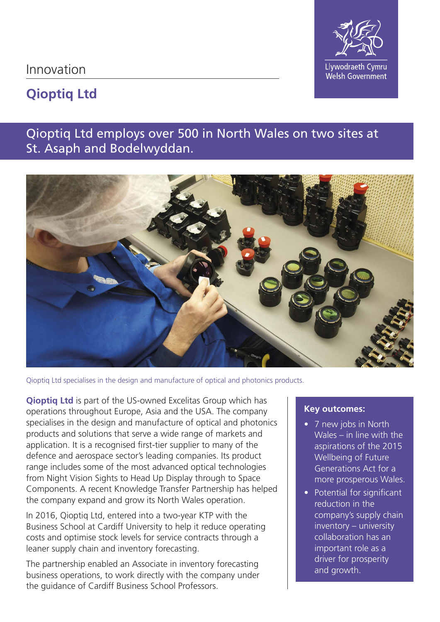Innovation



# **Qioptiq Ltd**

## Qioptiq Ltd employs over 500 in North Wales on two sites at St. Asaph and Bodelwyddan.



Qioptiq Ltd specialises in the design and manufacture of optical and photonics products.

**Qioptiq Ltd** is part of the US-owned Excelitas Group which has operations throughout Europe, Asia and the USA. The company specialises in the design and manufacture of optical and photonics products and solutions that serve a wide range of markets and application. It is a recognised first-tier supplier to many of the defence and aerospace sector's leading companies. Its product range includes some of the most advanced optical technologies from Night Vision Sights to Head Up Display through to Space Components. A recent Knowledge Transfer Partnership has helped the company expand and grow its North Wales operation.

In 2016, Qioptiq Ltd, entered into a two-year KTP with the Business School at Cardiff University to help it reduce operating costs and optimise stock levels for service contracts through a leaner supply chain and inventory forecasting.

The partnership enabled an Associate in inventory forecasting business operations, to work directly with the company under the guidance of Cardiff Business School Professors.

## **Key outcomes:**

- 7 new jobs in North Wales – in line with the aspirations of the 2015 Wellbeing of Future Generations Act for a more prosperous Wales.
- Potential for significant reduction in the company's supply chain inventory – university collaboration has an important role as a driver for prosperity and growth.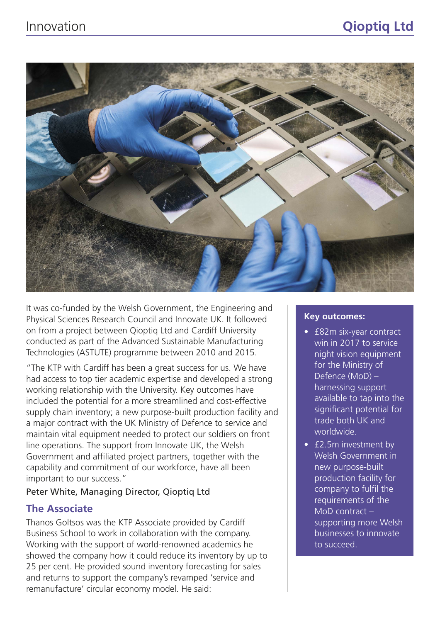

It was co-funded by the Welsh Government, the Engineering and Physical Sciences Research Council and Innovate UK. It followed on from a project between Qioptiq Ltd and Cardiff University conducted as part of the Advanced Sustainable Manufacturing Technologies (ASTUTE) programme between 2010 and 2015.

"The KTP with Cardiff has been a great success for us. We have had access to top tier academic expertise and developed a strong working relationship with the University. Key outcomes have included the potential for a more streamlined and cost-effective supply chain inventory; a new purpose-built production facility and a major contract with the UK Ministry of Defence to service and maintain vital equipment needed to protect our soldiers on front line operations. The support from Innovate UK, the Welsh Government and affiliated project partners, together with the capability and commitment of our workforce, have all been important to our success."

## Peter White, Managing Director, Qioptiq Ltd

## **The Associate**

Thanos Goltsos was the KTP Associate provided by Cardiff Business School to work in collaboration with the company. Working with the support of world-renowned academics he showed the company how it could reduce its inventory by up to 25 per cent. He provided sound inventory forecasting for sales and returns to support the company's revamped 'service and remanufacture' circular economy model. He said:

#### **Key outcomes:**

- £82m six-year contract win in 2017 to service night vision equipment for the Ministry of Defence (MoD) – harnessing support available to tap into the significant potential for trade both UK and worldwide.
- £2.5m investment by Welsh Government in new purpose-built production facility for company to fulfil the requirements of the MoD contract – supporting more Welsh businesses to innovate to succeed.